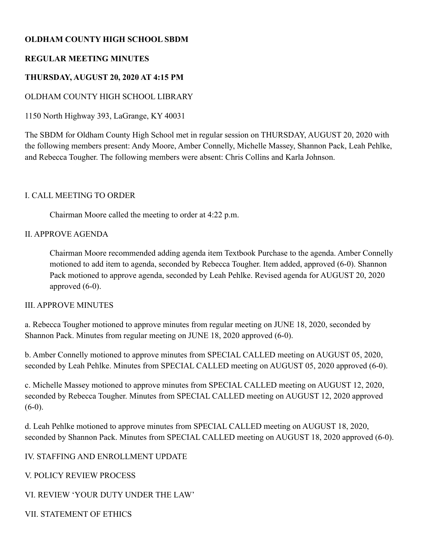# **OLDHAM COUNTY HIGH SCHOOL SBDM**

# **REGULAR MEETING MINUTES**

# **THURSDAY, AUGUST 20, 2020 AT 4:15 PM**

# OLDHAM COUNTY HIGH SCHOOL LIBRARY

1150 North Highway 393, LaGrange, KY 40031

The SBDM for Oldham County High School met in regular session on THURSDAY, AUGUST 20, 2020 with the following members present: Andy Moore, Amber Connelly, Michelle Massey, Shannon Pack, Leah Pehlke, and Rebecca Tougher. The following members were absent: Chris Collins and Karla Johnson.

### I. CALL MEETING TO ORDER

Chairman Moore called the meeting to order at 4:22 p.m.

### II. APPROVE AGENDA

Chairman Moore recommended adding agenda item Textbook Purchase to the agenda. Amber Connelly motioned to add item to agenda, seconded by Rebecca Tougher. Item added, approved (6-0). Shannon Pack motioned to approve agenda, seconded by Leah Pehlke. Revised agenda for AUGUST 20, 2020 approved (6-0).

#### III. APPROVE MINUTES

a. Rebecca Tougher motioned to approve minutes from regular meeting on JUNE 18, 2020, seconded by Shannon Pack. Minutes from regular meeting on JUNE 18, 2020 approved (6-0).

b. Amber Connelly motioned to approve minutes from SPECIAL CALLED meeting on AUGUST 05, 2020, seconded by Leah Pehlke. Minutes from SPECIAL CALLED meeting on AUGUST 05, 2020 approved (6-0).

c. Michelle Massey motioned to approve minutes from SPECIAL CALLED meeting on AUGUST 12, 2020, seconded by Rebecca Tougher. Minutes from SPECIAL CALLED meeting on AUGUST 12, 2020 approved  $(6-0)$ .

d. Leah Pehlke motioned to approve minutes from SPECIAL CALLED meeting on AUGUST 18, 2020, seconded by Shannon Pack. Minutes from SPECIAL CALLED meeting on AUGUST 18, 2020 approved (6-0).

## IV. STAFFING AND ENROLLMENT UPDATE

## V. POLICY REVIEW PROCESS

## VI. REVIEW 'YOUR DUTY UNDER THE LAW'

VII. STATEMENT OF ETHICS